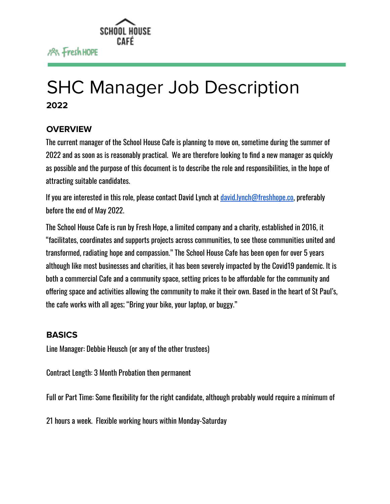

# SHC Manager Job Description **2022**

### **OVERVIEW**

The current manager of the School House Cafe is planning to move on, sometime during the summer of 2022 and as soon as is reasonably practical. We are therefore looking to find a new manager as quickly as possible and the purpose of this document is to describe the role and responsibilities, in the hope of attracting suitable candidates.

If you are interested in this role, please contact David Lynch at [david.lynch@freshhope.co,](mailto:david.lynch@freshhope.co) preferably before the end of May 2022.

The School House Cafe is run by Fresh Hope, a limited company and a charity, established in 2016, it "facilitates, coordinates and supports projects across communities, to see those communities united and transformed, radiating hope and compassion." The School House Cafe has been open for over 5 years although like most businesses and charities, it has been severely impacted by the Covid19 pandemic. It is both a commercial Cafe and a community space, setting prices to be affordable for the community and offering space and activities allowing the community to make it their own. Based in the heart of St Paul's, the cafe works with all ages; "Bring your bike, your laptop, or buggy."

#### **BASICS**

Line Manager: Debbie Heusch (or any of the other trustees)

Contract Length: 3 Month Probation then permanent

Full or Part Time: Some flexibility for the right candidate, although probably would require a minimum of

21 hours a week. Flexible working hours within Monday-Saturday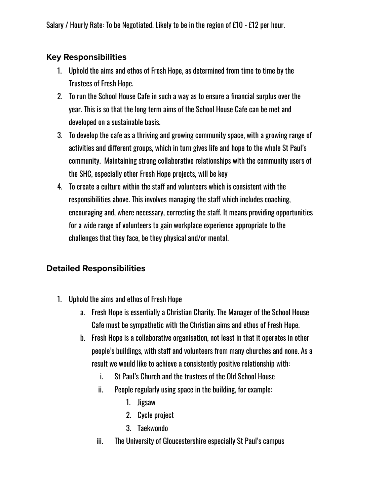Salary / Hourly Rate: To be Negotiated. Likely to be in the region of £10 - £12 per hour.

## **Key Responsibilities**

- 1. Uphold the aims and ethos of Fresh Hope, as determined from time to time by the Trustees of Fresh Hope.
- 2. To run the School House Cafe in such a way as to ensure a financial surplus over the year. This is so that the long term aims of the School House Cafe can be met and developed on a sustainable basis.
- 3. To develop the cafe as a thriving and growing community space, with a growing range of activities and different groups, which in turn gives life and hope to the whole St Paul's community. Maintaining strong collaborative relationships with the community users of the SHC, especially other Fresh Hope projects, will be key
- 4. To create a culture within the staff and volunteers which is consistent with the responsibilities above. This involves managing the staff which includes coaching, encouraging and, where necessary, correcting the staff. It means providing opportunities for a wide range of volunteers to gain workplace experience appropriate to the challenges that they face, be they physical and/or mental.

## **Detailed Responsibilities**

- 1. Uphold the aims and ethos of Fresh Hope
	- a. Fresh Hope is essentially a Christian Charity. The Manager of the School House Cafe must be sympathetic with the Christian aims and ethos of Fresh Hope.
	- b. Fresh Hope is a collaborative organisation, not least in that it operates in other people's buildings, with staff and volunteers from many churches and none. As a result we would like to achieve a consistently positive relationship with:
		- i. St Paul's Church and the trustees of the Old School House
		- ii. People regularly using space in the building, for example:
			- 1. Jigsaw
			- 2. Cycle project
			- 3. Taekwondo
		- iii. The University of Gloucestershire especially St Paul's campus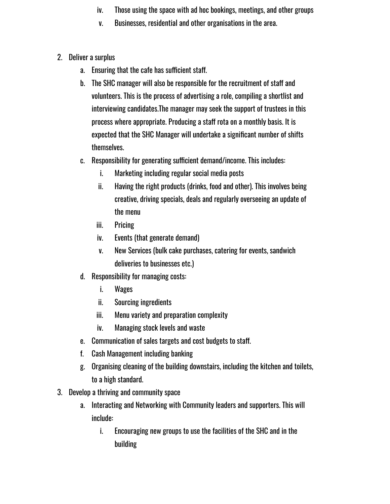- iv. Those using the space with ad hoc bookings, meetings, and other groups
- v. Businesses, residential and other organisations in the area.
- 2. Deliver a surplus
	- a. Ensuring that the cafe has sufficient staff.
	- b. The SHC manager will also be responsible for the recruitment of staff and volunteers. This is the process of advertising a role, compiling a shortlist and interviewing candidates.The manager may seek the support of trustees in this process where appropriate. Producing a staff rota on a monthly basis. It is expected that the SHC Manager will undertake a significant number of shifts themselves.
	- c. Responsibility for generating sufficient demand/income. This includes:
		- i. Marketing including regular social media posts
		- ii. Having the right products (drinks, food and other). This involves being creative, driving specials, deals and regularly overseeing an update of the menu
		- iii. Pricing
		- iv. Events (that generate demand)
		- v. New Services (bulk cake purchases, catering for events, sandwich deliveries to businesses etc.)
	- d. Responsibility for managing costs:
		- i. Wages
		- ii. Sourcing ingredients
		- iii. Menu variety and preparation complexity
		- iv. Managing stock levels and waste
	- e. Communication of sales targets and cost budgets to staff.
	- f. Cash Management including banking
	- g. Organising cleaning of the building downstairs, including the kitchen and toilets, to a high standard.
- 3. Develop a thriving and community space
	- a. Interacting and Networking with Community leaders and supporters. This will include:
		- i. Encouraging new groups to use the facilities of the SHC and in the building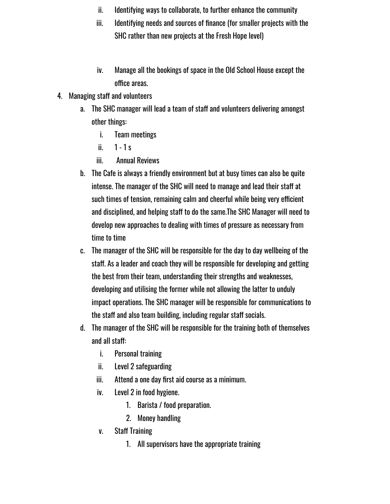- ii. Identifying ways to collaborate, to further enhance the community
- iii. Identifying needs and sources of finance (for smaller projects with the SHC rather than new projects at the Fresh Hope level)
- iv. Manage all the bookings of space in the Old School House except the office areas.
- 4. Managing staff and volunteers
	- a. The SHC manager will lead a team of staff and volunteers delivering amongst other things:
		- i. Team meetings
		- ii.  $1 1s$
		- iii. Annual Reviews
	- b. The Cafe is always a friendly environment but at busy times can also be quite intense. The manager of the SHC will need to manage and lead their staff at such times of tension, remaining calm and cheerful while being very efficient and disciplined, and helping staff to do the same.The SHC Manager will need to develop new approaches to dealing with times of pressure as necessary from time to time
	- c. The manager of the SHC will be responsible for the day to day wellbeing of the staff. As a leader and coach they will be responsible for developing and getting the best from their team, understanding their strengths and weaknesses, developing and utilising the former while not allowing the latter to unduly impact operations. The SHC manager will be responsible for communications to the staff and also team building, including regular staff socials.
	- d. The manager of the SHC will be responsible for the training both of themselves and all staff:
		- i. Personal training
		- ii. Level 2 safeguarding
		- iii. Attend a one day first aid course as a minimum.
		- iv. Level 2 in food hygiene.
			- 1. Barista / food preparation.
			- 2. Money handling
		- v. Staff Training
			- 1. All supervisors have the appropriate training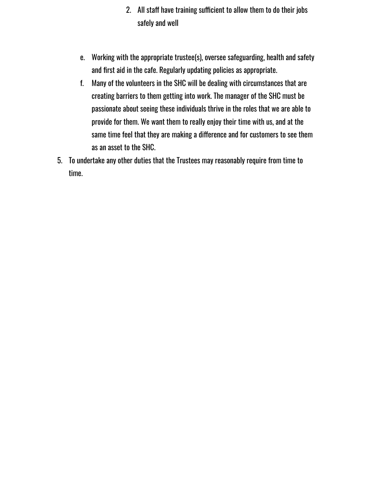- 2. All staff have training sufficient to allow them to do their jobs safely and well
- e. Working with the appropriate trustee(s), oversee safeguarding, health and safety and first aid in the cafe. Regularly updating policies as appropriate.
- f. Many of the volunteers in the SHC will be dealing with circumstances that are creating barriers to them getting into work. The manager of the SHC must be passionate about seeing these individuals thrive in the roles that we are able to provide for them. We want them to really enjoy their time with us, and at the same time feel that they are making a difference and for customers to see them as an asset to the SHC.
- 5. To undertake any other duties that the Trustees may reasonably require from time to time.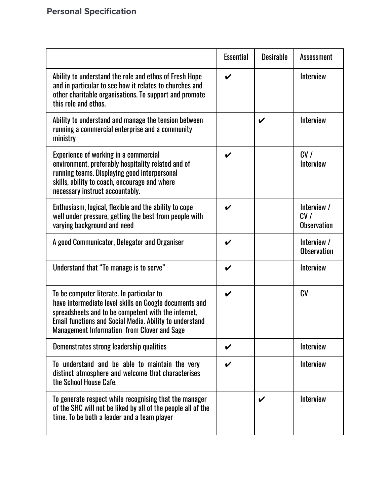|                                                                                                                                                                                                                                                                                    | <b>Essential</b>   | <b>Desirable</b>           | <b>Assessment</b>                        |
|------------------------------------------------------------------------------------------------------------------------------------------------------------------------------------------------------------------------------------------------------------------------------------|--------------------|----------------------------|------------------------------------------|
| Ability to understand the role and ethos of Fresh Hope<br>and in particular to see how it relates to churches and<br>other charitable organisations. To support and promote<br>this role and ethos.                                                                                | $\boldsymbol{\nu}$ |                            | <b>Interview</b>                         |
| Ability to understand and manage the tension between<br>running a commercial enterprise and a community<br>ministry                                                                                                                                                                |                    | $\boldsymbol{\mathcal{U}}$ | Interview                                |
| Experience of working in a commercial<br>environment, preferably hospitality related and of<br>running teams. Displaying good interpersonal<br>skills, ability to coach, encourage and where<br>necessary instruct accountably.                                                    | V                  |                            | CV/<br><b>Interview</b>                  |
| Enthusiasm, logical, flexible and the ability to cope<br>well under pressure, getting the best from people with<br>varying background and need                                                                                                                                     | V                  |                            | Interview /<br>CV/<br><b>Observation</b> |
| A good Communicator, Delegator and Organiser                                                                                                                                                                                                                                       | V                  |                            | Interview /<br><b>Observation</b>        |
| Understand that "To manage is to serve"                                                                                                                                                                                                                                            | V                  |                            | <b>Interview</b>                         |
| To be computer literate. In particular to<br>have intermediate level skills on Google documents and<br>spreadsheets and to be competent with the internet,<br><b>Email functions and Social Media. Ability to understand</b><br><b>Management Information from Clover and Sage</b> | V                  |                            | CV                                       |
| Demonstrates strong leadership qualities                                                                                                                                                                                                                                           | V                  |                            | <b>Interview</b>                         |
| To understand and be able to maintain the very<br>distinct atmosphere and welcome that characterises<br>the School House Cafe.                                                                                                                                                     | V                  |                            | <b>Interview</b>                         |
| To generate respect while recognising that the manager<br>of the SHC will not be liked by all of the people all of the<br>time. To be both a leader and a team player                                                                                                              |                    | V                          | <b>Interview</b>                         |